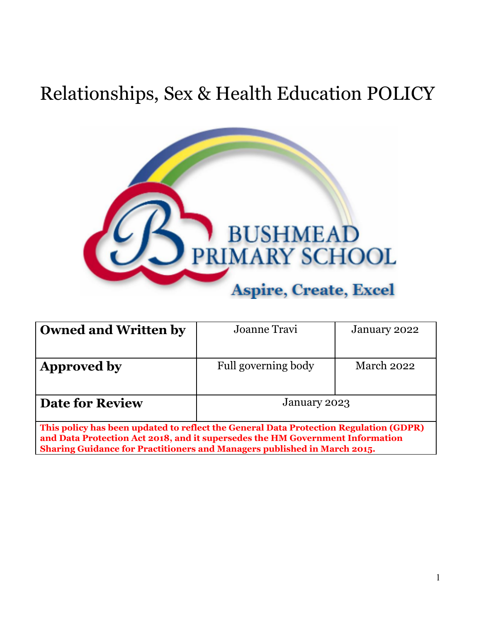# Relationships, Sex & Health Education POLICY



| Owned and Written by                                                                                                                                                   | Joanne Travi        | January 2022 |
|------------------------------------------------------------------------------------------------------------------------------------------------------------------------|---------------------|--------------|
|                                                                                                                                                                        |                     |              |
| Approved by                                                                                                                                                            | Full governing body | March 2022   |
|                                                                                                                                                                        |                     |              |
| <b>Date for Review</b>                                                                                                                                                 | January 2023        |              |
|                                                                                                                                                                        |                     |              |
| This policy has been updated to reflect the General Data Protection Regulation (GDPR)<br>and Data Protection Act 2018, and it supersedes the HM Government Information |                     |              |
| <b>Sharing Guidance for Practitioners and Managers published in March 2015.</b>                                                                                        |                     |              |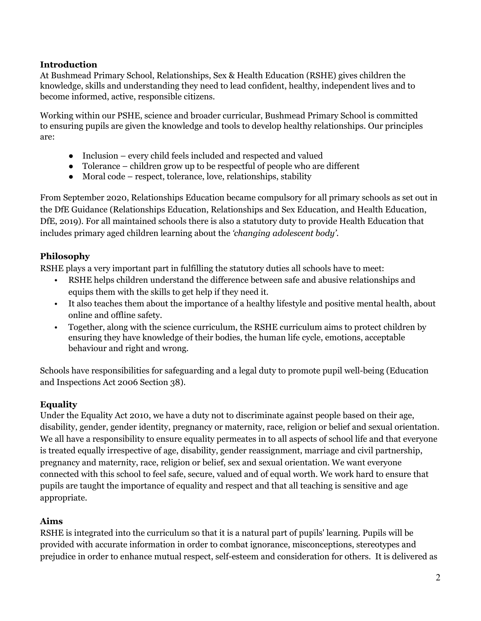# **Introduction**

At Bushmead Primary School, Relationships, Sex & Health Education (RSHE) gives children the knowledge, skills and understanding they need to lead confident, healthy, independent lives and to become informed, active, responsible citizens.

Working within our PSHE, science and broader curricular, Bushmead Primary School is committed to ensuring pupils are given the knowledge and tools to develop healthy relationships. Our principles are:

- Inclusion every child feels included and respected and valued
- Tolerance children grow up to be respectful of people who are different
- Moral code respect, tolerance, love, relationships, stability

From September 2020, Relationships Education became compulsory for all primary schools as set out in the DfE Guidance (Relationships Education, Relationships and Sex Education, and Health Education, DfE, 2019). For all maintained schools there is also a statutory duty to provide Health Education that includes primary aged children learning about the *'changing adolescent body'*.

# **Philosophy**

RSHE plays a very important part in fulfilling the statutory duties all schools have to meet:

- RSHE helps children understand the difference between safe and abusive relationships and equips them with the skills to get help if they need it.
- It also teaches them about the importance of a healthy lifestyle and positive mental health, about online and offline safety.
- Together, along with the science curriculum, the RSHE curriculum aims to protect children by ensuring they have knowledge of their bodies, the human life cycle, emotions, acceptable behaviour and right and wrong.

Schools have responsibilities for safeguarding and a legal duty to promote pupil well-being (Education and Inspections Act 2006 Section 38).

# **Equality**

Under the Equality Act 2010, we have a duty not to discriminate against people based on their age, disability, gender, gender identity, pregnancy or maternity, race, religion or belief and sexual orientation. We all have a responsibility to ensure equality permeates in to all aspects of school life and that everyone is treated equally irrespective of age, disability, gender reassignment, marriage and civil partnership, pregnancy and maternity, race, religion or belief, sex and sexual orientation. We want everyone connected with this school to feel safe, secure, valued and of equal worth. We work hard to ensure that pupils are taught the importance of equality and respect and that all teaching is sensitive and age appropriate.

# **Aims**

RSHE is integrated into the curriculum so that it is a natural part of pupils' learning. Pupils will be provided with accurate information in order to combat ignorance, misconceptions, stereotypes and prejudice in order to enhance mutual respect, self-esteem and consideration for others. It is delivered as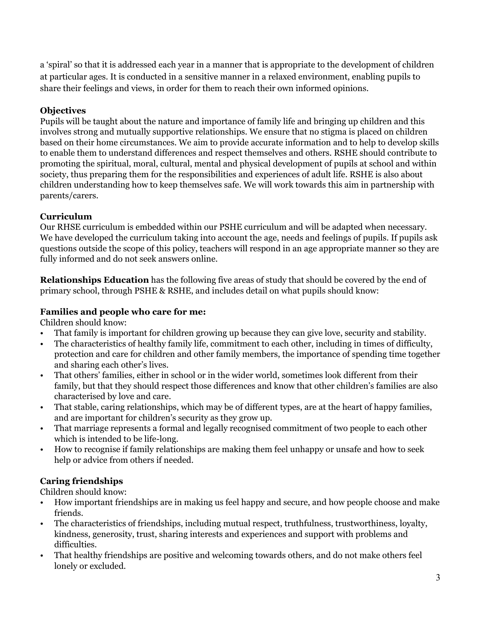a 'spiral' so that it is addressed each year in a manner that is appropriate to the development of children at particular ages. It is conducted in a sensitive manner in a relaxed environment, enabling pupils to share their feelings and views, in order for them to reach their own informed opinions.

#### **Objectives**

Pupils will be taught about the nature and importance of family life and bringing up children and this involves strong and mutually supportive relationships. We ensure that no stigma is placed on children based on their home circumstances. We aim to provide accurate information and to help to develop skills to enable them to understand differences and respect themselves and others. RSHE should contribute to promoting the spiritual, moral, cultural, mental and physical development of pupils at school and within society, thus preparing them for the responsibilities and experiences of adult life. RSHE is also about children understanding how to keep themselves safe. We will work towards this aim in partnership with parents/carers.

#### **Curriculum**

Our RHSE curriculum is embedded within our PSHE curriculum and will be adapted when necessary. We have developed the curriculum taking into account the age, needs and feelings of pupils. If pupils ask questions outside the scope of this policy, teachers will respond in an age appropriate manner so they are fully informed and do not seek answers online.

**Relationships Education** has the following five areas of study that should be covered by the end of primary school, through PSHE & RSHE, and includes detail on what pupils should know:

#### **Families and people who care for me:**

Children should know:

- That family is important for children growing up because they can give love, security and stability.
- The characteristics of healthy family life, commitment to each other, including in times of difficulty, protection and care for children and other family members, the importance of spending time together and sharing each other's lives.
- That others' families, either in school or in the wider world, sometimes look different from their family, but that they should respect those differences and know that other children's families are also characterised by love and care.
- That stable, caring relationships, which may be of different types, are at the heart of happy families, and are important for children's security as they grow up.
- That marriage represents a formal and legally recognised commitment of two people to each other which is intended to be life-long.
- How to recognise if family relationships are making them feel unhappy or unsafe and how to seek help or advice from others if needed.

#### **Caring friendships**

Children should know:

- How important friendships are in making us feel happy and secure, and how people choose and make friends.
- The characteristics of friendships, including mutual respect, truthfulness, trustworthiness, loyalty, kindness, generosity, trust, sharing interests and experiences and support with problems and difficulties.
- That healthy friendships are positive and welcoming towards others, and do not make others feel lonely or excluded.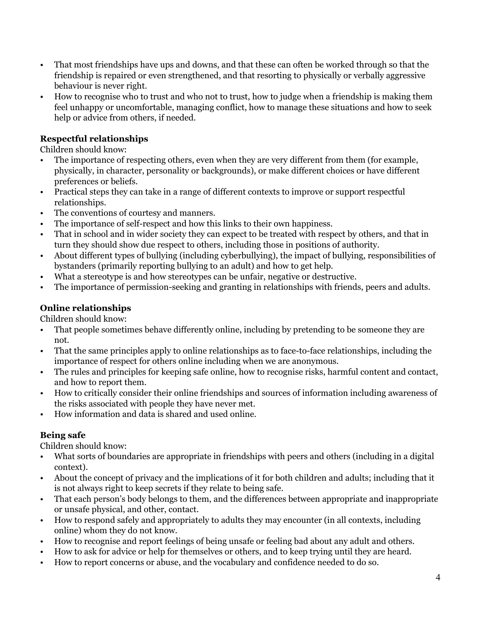- That most friendships have ups and downs, and that these can often be worked through so that the friendship is repaired or even strengthened, and that resorting to physically or verbally aggressive behaviour is never right.
- How to recognise who to trust and who not to trust, how to judge when a friendship is making them feel unhappy or uncomfortable, managing conflict, how to manage these situations and how to seek help or advice from others, if needed.

#### **Respectful relationships**

Children should know:

- The importance of respecting others, even when they are very different from them (for example, physically, in character, personality or backgrounds), or make different choices or have different preferences or beliefs.
- Practical steps they can take in a range of different contexts to improve or support respectful relationships.
- The conventions of courtesy and manners.
- The importance of self-respect and how this links to their own happiness.
- That in school and in wider society they can expect to be treated with respect by others, and that in turn they should show due respect to others, including those in positions of authority.
- About different types of bullying (including cyberbullying), the impact of bullying, responsibilities of bystanders (primarily reporting bullying to an adult) and how to get help.
- What a stereotype is and how stereotypes can be unfair, negative or destructive.
- The importance of permission-seeking and granting in relationships with friends, peers and adults.

#### **Online relationships**

Children should know:

- That people sometimes behave differently online, including by pretending to be someone they are not.
- That the same principles apply to online relationships as to face-to-face relationships, including the importance of respect for others online including when we are anonymous.
- The rules and principles for keeping safe online, how to recognise risks, harmful content and contact, and how to report them.
- How to critically consider their online friendships and sources of information including awareness of the risks associated with people they have never met.
- How information and data is shared and used online.

#### **Being safe**

Children should know:

- What sorts of boundaries are appropriate in friendships with peers and others (including in a digital context).
- About the concept of privacy and the implications of it for both children and adults; including that it is not always right to keep secrets if they relate to being safe.
- That each person's body belongs to them, and the differences between appropriate and inappropriate or unsafe physical, and other, contact.
- How to respond safely and appropriately to adults they may encounter (in all contexts, including online) whom they do not know.
- How to recognise and report feelings of being unsafe or feeling bad about any adult and others.
- How to ask for advice or help for themselves or others, and to keep trying until they are heard.
- How to report concerns or abuse, and the vocabulary and confidence needed to do so.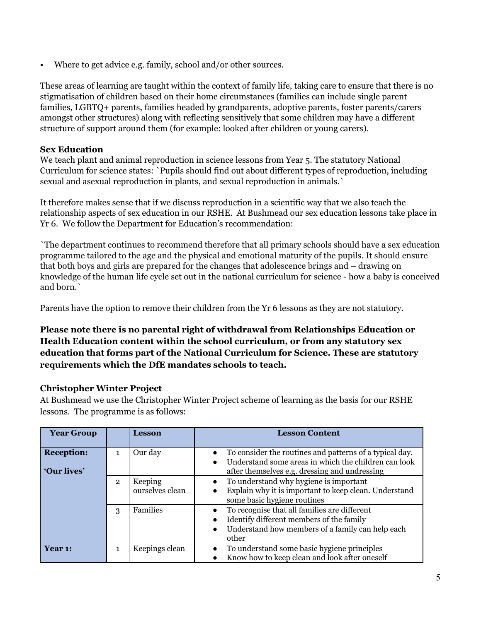Where to get advice e.g. family, school and/or other sources.

These areas of learning are taught within the context of family life, taking care to ensure that there is no stigmatisation of children based on their home circumstances (families can include single parent families, LGBTQ+ parents, families headed by grandparents, adoptive parents, foster parents/carers amongst other structures) along with reflecting sensitively that some children may have a different structure of support around them (for example: looked after children or young carers).

# **Sex Education**

We teach plant and animal reproduction in science lessons from Year 5. The statutory National Curriculum for science states: `Pupils should find out about different types of reproduction, including sexual and asexual reproduction in plants, and sexual reproduction in animals.`

It therefore makes sense that if we discuss reproduction in a scientific way that we also teach the relationship aspects of sex education in our RSHE. At Bushmead our sex education lessons take place in Yr 6. We follow the Department for Education's recommendation:

`The department continues to recommend therefore that all primary schools should have a sex education programme tailored to the age and the physical and emotional maturity of the pupils. It should ensure that both boys and girls are prepared for the changes that adolescence brings and – drawing on knowledge of the human life cycle set out in the national curriculum for science - how a baby is conceived and born.`

Parents have the option to remove their children from the Yr 6 lessons as they are not statutory.

**Please note there is no parental right of withdrawal from Relationships Education or Health Education content within the school curriculum, or from any statutory sex education that forms part of the National Curriculum for Science. These are statutory requirements which the DfE mandates schools to teach.**

#### **Christopher Winter Project**

At Bushmead we use the Christopher Winter Project scheme of learning as the basis for our RSHE lessons. The programme is as follows:

| <b>Year Group</b>                |              | <b>Lesson</b>              | <b>Lesson Content</b>                                                                                                                                            |
|----------------------------------|--------------|----------------------------|------------------------------------------------------------------------------------------------------------------------------------------------------------------|
| <b>Reception:</b><br>'Our lives' |              | Our day                    | To consider the routines and patterns of a typical day.<br>Understand some areas in which the children can look<br>after themselves e.g. dressing and undressing |
|                                  | $\mathbf{2}$ | Keeping<br>ourselves clean | To understand why hygiene is important<br>$\bullet$<br>Explain why it is important to keep clean. Understand<br>some basic hygiene routines                      |
|                                  | 3            | Families                   | To recognise that all families are different<br>Identify different members of the family<br>Understand how members of a family can help each<br>other            |
| Year 1:                          |              | Keepings clean             | To understand some basic hygiene principles<br>Know how to keep clean and look after oneself                                                                     |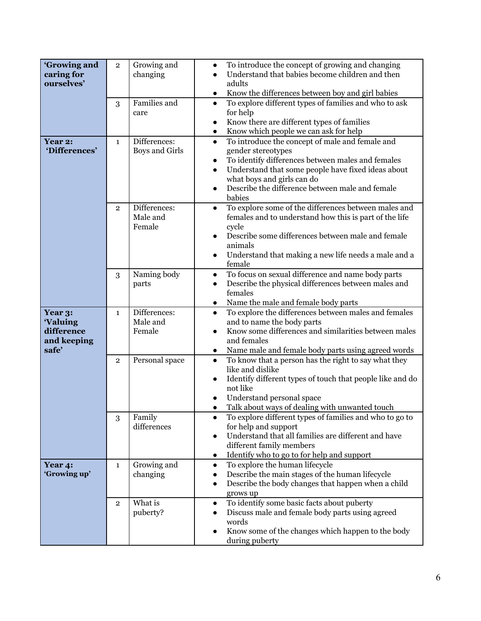| 'Growing and<br>caring for                                      | $\overline{2}$ | Growing and<br>changing            | To introduce the concept of growing and changing<br>$\bullet$<br>Understand that babies become children and then<br>$\bullet$                                                                                                                                                                                           |
|-----------------------------------------------------------------|----------------|------------------------------------|-------------------------------------------------------------------------------------------------------------------------------------------------------------------------------------------------------------------------------------------------------------------------------------------------------------------------|
| ourselves'                                                      |                |                                    | adults<br>Know the differences between boy and girl babies<br>$\bullet$                                                                                                                                                                                                                                                 |
|                                                                 | 3              | Families and<br>care               | To explore different types of families and who to ask<br>$\bullet$<br>for help<br>Know there are different types of families<br>$\bullet$<br>Know which people we can ask for help<br>$\bullet$                                                                                                                         |
| Year 2:<br>'Differences'                                        | $\mathbf{1}$   | Differences:<br>Boys and Girls     | To introduce the concept of male and female and<br>$\bullet$<br>gender stereotypes<br>To identify differences between males and females<br>٠<br>Understand that some people have fixed ideas about<br>$\bullet$<br>what boys and girls can do<br>Describe the difference between male and female<br>$\bullet$<br>babies |
|                                                                 | $\overline{2}$ | Differences:<br>Male and<br>Female | To explore some of the differences between males and<br>$\bullet$<br>females and to understand how this is part of the life<br>cycle<br>Describe some differences between male and female<br>animals<br>Understand that making a new life needs a male and a<br>$\bullet$<br>female                                     |
|                                                                 | 3              | Naming body<br>parts               | To focus on sexual difference and name body parts<br>$\bullet$<br>Describe the physical differences between males and<br>$\bullet$<br>females<br>Name the male and female body parts<br>$\bullet$                                                                                                                       |
| Year 3:<br><b>Valuing</b><br>difference<br>and keeping<br>safe' | $\mathbf{1}$   | Differences:<br>Male and<br>Female | To explore the differences between males and females<br>$\bullet$<br>and to name the body parts<br>Know some differences and similarities between males<br>$\bullet$<br>and females<br>Name male and female body parts using agreed words<br>$\bullet$                                                                  |
|                                                                 | $\mathbf{2}$   | Personal space                     | To know that a person has the right to say what they<br>$\bullet$<br>like and dislike<br>Identify different types of touch that people like and do<br>$\bullet$<br>not like<br>Understand personal space<br>Talk about ways of dealing with unwanted touch<br>$\bullet$                                                 |
|                                                                 | 3              | Family<br>differences              | To explore different types of families and who to go to<br>$\bullet$<br>for help and support<br>Understand that all families are different and have<br>different family members<br>Identify who to go to for help and support<br>$\bullet$                                                                              |
| Year 4:<br>'Growing up'                                         | $\mathbf{1}$   | Growing and<br>changing            | To explore the human lifecycle<br>$\bullet$<br>Describe the main stages of the human lifecycle<br>$\bullet$<br>Describe the body changes that happen when a child<br>$\bullet$<br>grows up                                                                                                                              |
|                                                                 | $\overline{2}$ | What is<br>puberty?                | To identify some basic facts about puberty<br>$\bullet$<br>Discuss male and female body parts using agreed<br>$\bullet$<br>words<br>Know some of the changes which happen to the body<br>during puberty                                                                                                                 |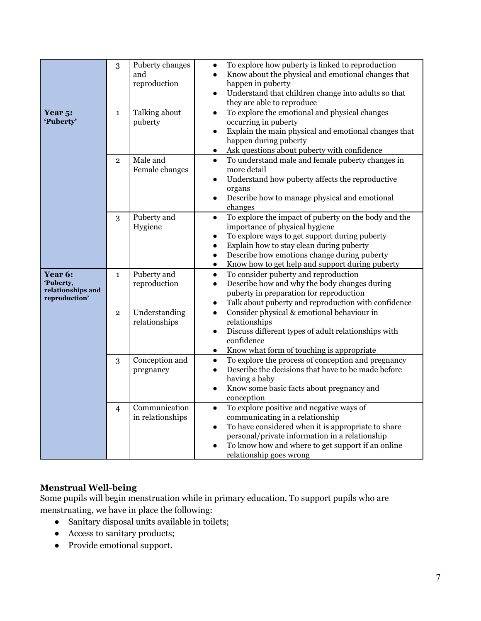| Year 5:<br>'Puberty'                                       | 3<br>$\mathbf{1}$ | Puberty changes<br>and<br>reproduction<br>Talking about<br>puberty | To explore how puberty is linked to reproduction<br>$\bullet$<br>Know about the physical and emotional changes that<br>$\bullet$<br>happen in puberty<br>Understand that children change into adults so that<br>$\bullet$<br>they are able to reproduce<br>To explore the emotional and physical changes<br>$\bullet$<br>occurring in puberty<br>Explain the main physical and emotional changes that |
|------------------------------------------------------------|-------------------|--------------------------------------------------------------------|-------------------------------------------------------------------------------------------------------------------------------------------------------------------------------------------------------------------------------------------------------------------------------------------------------------------------------------------------------------------------------------------------------|
|                                                            |                   |                                                                    | happen during puberty<br>Ask questions about puberty with confidence<br>$\bullet$                                                                                                                                                                                                                                                                                                                     |
|                                                            | $\overline{2}$    | Male and<br>Female changes                                         | To understand male and female puberty changes in<br>$\bullet$<br>more detail<br>Understand how puberty affects the reproductive<br>$\bullet$<br>organs<br>Describe how to manage physical and emotional<br>$\bullet$<br>changes                                                                                                                                                                       |
|                                                            | 3                 | Puberty and<br>Hygiene                                             | To explore the impact of puberty on the body and the<br>$\bullet$<br>importance of physical hygiene<br>To explore ways to get support during puberty<br>$\bullet$<br>Explain how to stay clean during puberty<br>$\bullet$<br>Describe how emotions change during puberty<br>$\bullet$<br>Know how to get help and support during puberty<br>$\bullet$                                                |
| Year 6:<br>'Puberty,<br>relationships and<br>reproduction' | $\mathbf{1}$      | Puberty and<br>reproduction                                        | To consider puberty and reproduction<br>$\bullet$<br>Describe how and why the body changes during<br>$\bullet$<br>puberty in preparation for reproduction<br>Talk about puberty and reproduction with confidence<br>$\bullet$                                                                                                                                                                         |
|                                                            | $\overline{2}$    | Understanding<br>relationships                                     | Consider physical & emotional behaviour in<br>$\bullet$<br>relationships<br>Discuss different types of adult relationships with<br>$\bullet$<br>confidence<br>Know what form of touching is appropriate<br>$\bullet$                                                                                                                                                                                  |
|                                                            | 3                 | Conception and<br>pregnancy                                        | To explore the process of conception and pregnancy<br>$\bullet$<br>Describe the decisions that have to be made before<br>$\bullet$<br>having a baby<br>Know some basic facts about pregnancy and<br>$\bullet$<br>conception                                                                                                                                                                           |
|                                                            | $\overline{4}$    | Communication<br>in relationships                                  | To explore positive and negative ways of<br>$\bullet$<br>communicating in a relationship<br>To have considered when it is appropriate to share<br>$\bullet$<br>personal/private information in a relationship<br>To know how and where to get support if an online<br>$\bullet$<br>relationship goes wrong                                                                                            |

#### **Menstrual Well-being**

Some pupils will begin menstruation while in primary education. To support pupils who are menstruating, we have in place the following:

- Sanitary disposal units available in toilets;
- Access to sanitary products;
- Provide emotional support.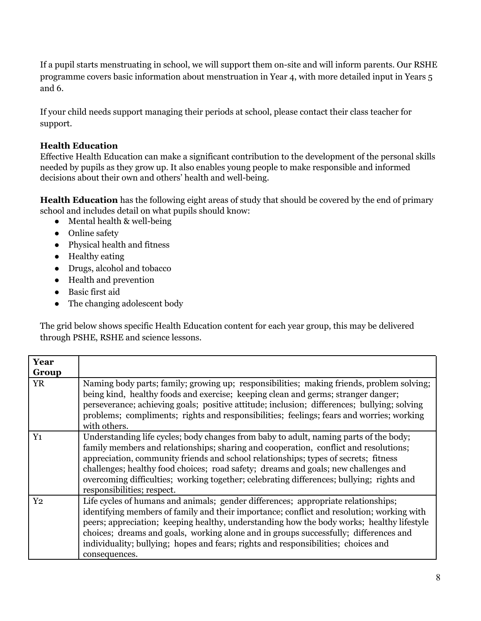If a pupil starts menstruating in school, we will support them on-site and will inform parents. Our RSHE programme covers basic information about menstruation in Year 4, with more detailed input in Years 5 and 6.

If your child needs support managing their periods at school, please contact their class teacher for support.

#### **Health Education**

Effective Health Education can make a significant contribution to the development of the personal skills needed by pupils as they grow up. It also enables young people to make responsible and informed decisions about their own and others' health and well-being.

**Health Education** has the following eight areas of study that should be covered by the end of primary school and includes detail on what pupils should know:

- $\bullet$  Mental health & well-being
- Online safety
- Physical health and fitness
- Healthy eating
- Drugs, alcohol and tobacco
- Health and prevention
- Basic first aid
- The changing adolescent body

The grid below shows specific Health Education content for each year group, this may be delivered through PSHE, RSHE and science lessons.

| Year<br>Group |                                                                                                                                                                                                                                                                                                                                                                                                                                                                                       |
|---------------|---------------------------------------------------------------------------------------------------------------------------------------------------------------------------------------------------------------------------------------------------------------------------------------------------------------------------------------------------------------------------------------------------------------------------------------------------------------------------------------|
| <b>YR</b>     | Naming body parts; family; growing up; responsibilities; making friends, problem solving;<br>being kind, healthy foods and exercise; keeping clean and germs; stranger danger;<br>perseverance; achieving goals; positive attitude; inclusion; differences; bullying; solving<br>problems; compliments; rights and responsibilities; feelings; fears and worries; working<br>with others.                                                                                             |
| $Y_1$         | Understanding life cycles; body changes from baby to adult, naming parts of the body;<br>family members and relationships; sharing and cooperation, conflict and resolutions;<br>appreciation, community friends and school relationships; types of secrets; fitness<br>challenges; healthy food choices; road safety; dreams and goals; new challenges and<br>overcoming difficulties; working together; celebrating differences; bullying; rights and<br>responsibilities; respect. |
| $Y_2$         | Life cycles of humans and animals; gender differences; appropriate relationships;<br>identifying members of family and their importance; conflict and resolution; working with<br>peers; appreciation; keeping healthy, understanding how the body works; healthy lifestyle<br>choices; dreams and goals, working alone and in groups successfully; differences and<br>individuality; bullying; hopes and fears; rights and responsibilities; choices and<br>consequences.            |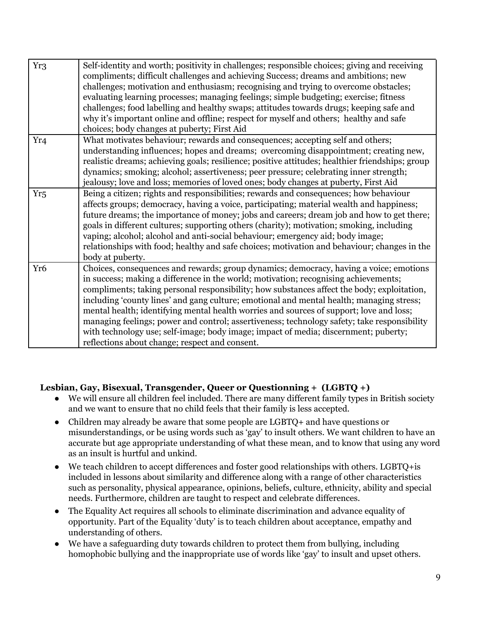| Yr3             | Self-identity and worth; positivity in challenges; responsible choices; giving and receiving<br>compliments; difficult challenges and achieving Success; dreams and ambitions; new<br>challenges; motivation and enthusiasm; recognising and trying to overcome obstacles;<br>evaluating learning processes; managing feelings; simple budgeting; exercise; fitness<br>challenges; food labelling and healthy swaps; attitudes towards drugs; keeping safe and<br>why it's important online and offline; respect for myself and others; healthy and safe<br>choices; body changes at puberty; First Aid                                                                                                    |
|-----------------|------------------------------------------------------------------------------------------------------------------------------------------------------------------------------------------------------------------------------------------------------------------------------------------------------------------------------------------------------------------------------------------------------------------------------------------------------------------------------------------------------------------------------------------------------------------------------------------------------------------------------------------------------------------------------------------------------------|
| Yr4             | What motivates behaviour; rewards and consequences; accepting self and others;<br>understanding influences; hopes and dreams; overcoming disappointment; creating new,<br>realistic dreams; achieving goals; resilience; positive attitudes; healthier friendships; group<br>dynamics; smoking; alcohol; assertiveness; peer pressure; celebrating inner strength;<br>jealousy; love and loss; memories of loved ones; body changes at puberty, First Aid                                                                                                                                                                                                                                                  |
| Yr <sub>5</sub> | Being a citizen; rights and responsibilities; rewards and consequences; how behaviour<br>affects groups; democracy, having a voice, participating; material wealth and happiness;<br>future dreams; the importance of money; jobs and careers; dream job and how to get there;<br>goals in different cultures; supporting others (charity); motivation; smoking, including<br>vaping; alcohol; alcohol and anti-social behaviour; emergency aid; body image;<br>relationships with food; healthy and safe choices; motivation and behaviour; changes in the<br>body at puberty.                                                                                                                            |
| Yr <sub>6</sub> | Choices, consequences and rewards; group dynamics; democracy, having a voice; emotions<br>in success; making a difference in the world; motivation; recognising achievements;<br>compliments; taking personal responsibility; how substances affect the body; exploitation,<br>including 'county lines' and gang culture; emotional and mental health; managing stress;<br>mental health; identifying mental health worries and sources of support; love and loss;<br>managing feelings; power and control; assertiveness; technology safety; take responsibility<br>with technology use; self-image; body image; impact of media; discernment; puberty;<br>reflections about change; respect and consent. |

#### **Lesbian, Gay, Bisexual, Transgender, Queer or Questionning + (LGBTQ +)**

- We will ensure all children feel included. There are many different family types in British society and we want to ensure that no child feels that their family is less accepted.
- Children may already be aware that some people are LGBTQ+ and have questions or misunderstandings, or be using words such as 'gay' to insult others. We want children to have an accurate but age appropriate understanding of what these mean, and to know that using any word as an insult is hurtful and unkind.
- We teach children to accept differences and foster good relationships with others. LGBTQ+is included in lessons about similarity and difference along with a range of other characteristics such as personality, physical appearance, opinions, beliefs, culture, ethnicity, ability and special needs. Furthermore, children are taught to respect and celebrate differences.
- The Equality Act requires all schools to eliminate discrimination and advance equality of opportunity. Part of the Equality 'duty' is to teach children about acceptance, empathy and understanding of others.
- We have a safeguarding duty towards children to protect them from bullying, including homophobic bullying and the inappropriate use of words like 'gay' to insult and upset others.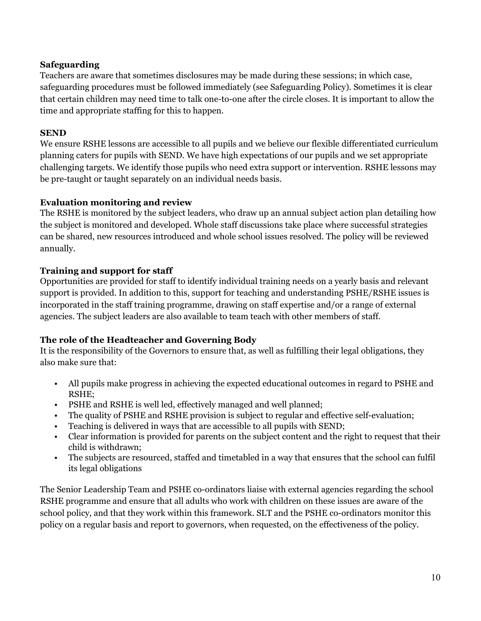# **Safeguarding**

Teachers are aware that sometimes disclosures may be made during these sessions; in which case, safeguarding procedures must be followed immediately (see Safeguarding Policy). Sometimes it is clear that certain children may need time to talk one-to-one after the circle closes. It is important to allow the time and appropriate staffing for this to happen.

#### **SEND**

We ensure RSHE lessons are accessible to all pupils and we believe our flexible differentiated curriculum planning caters for pupils with SEND. We have high expectations of our pupils and we set appropriate challenging targets. We identify those pupils who need extra support or intervention. RSHE lessons may be pre-taught or taught separately on an individual needs basis.

# **Evaluation monitoring and review**

The RSHE is monitored by the subject leaders, who draw up an annual subject action plan detailing how the subject is monitored and developed. Whole staff discussions take place where successful strategies can be shared, new resources introduced and whole school issues resolved. The policy will be reviewed annually.

# **Training and support for staff**

Opportunities are provided for staff to identify individual training needs on a yearly basis and relevant support is provided. In addition to this, support for teaching and understanding PSHE/RSHE issues is incorporated in the staff training programme, drawing on staff expertise and/or a range of external agencies. The subject leaders are also available to team teach with other members of staff.

# **The role of the Headteacher and Governing Body**

It is the responsibility of the Governors to ensure that, as well as fulfilling their legal obligations, they also make sure that:

- All pupils make progress in achieving the expected educational outcomes in regard to PSHE and RSHE;
- PSHE and RSHE is well led, effectively managed and well planned;
- The quality of PSHE and RSHE provision is subject to regular and effective self-evaluation;
- Teaching is delivered in ways that are accessible to all pupils with SEND;
- Clear information is provided for parents on the subject content and the right to request that their child is withdrawn;
- The subjects are resourced, staffed and timetabled in a way that ensures that the school can fulfil its legal obligations

The Senior Leadership Team and PSHE co-ordinators liaise with external agencies regarding the school RSHE programme and ensure that all adults who work with children on these issues are aware of the school policy, and that they work within this framework. SLT and the PSHE co-ordinators monitor this policy on a regular basis and report to governors, when requested, on the effectiveness of the policy.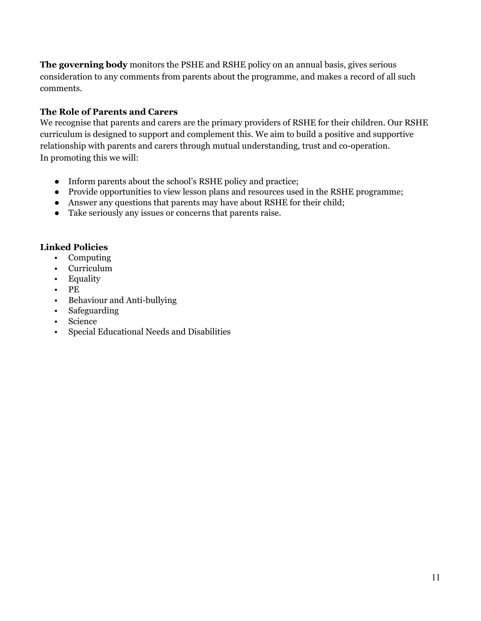**The governing body** monitors the PSHE and RSHE policy on an annual basis, gives serious consideration to any comments from parents about the programme, and makes a record of all such comments.

#### **The Role of Parents and Carers**

We recognise that parents and carers are the primary providers of RSHE for their children. Our RSHE curriculum is designed to support and complement this. We aim to build a positive and supportive relationship with parents and carers through mutual understanding, trust and co-operation. In promoting this we will:

- Inform parents about the school's RSHE policy and practice;
- Provide opportunities to view lesson plans and resources used in the RSHE programme;
- Answer any questions that parents may have about RSHE for their child;
- Take seriously any issues or concerns that parents raise.

#### **Linked Policies**

- Computing
- Curriculum
- Equality
- PE
- Behaviour and Anti-bullying
- Safeguarding
- Science
- Special Educational Needs and Disabilities